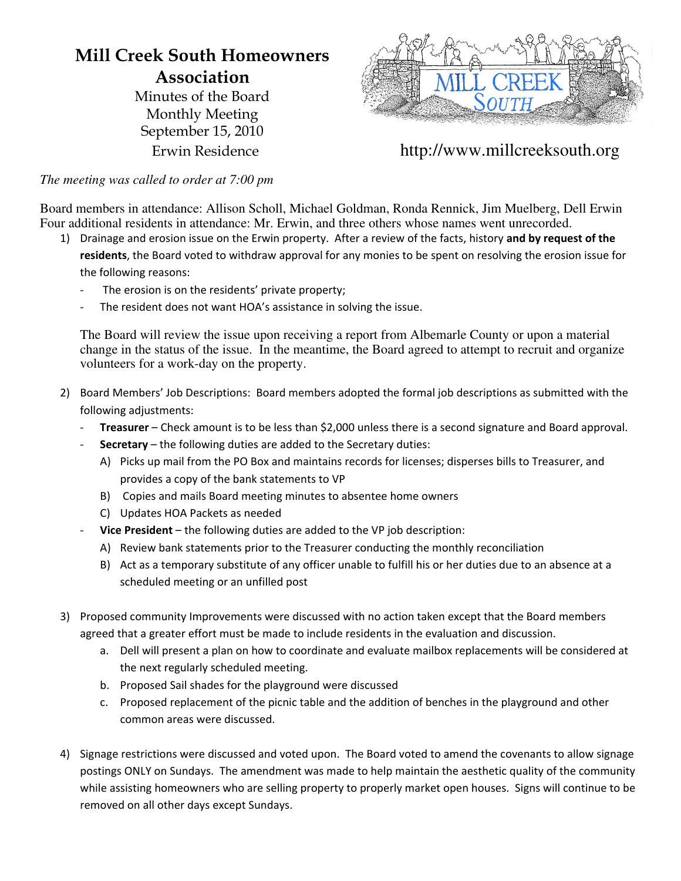## **Mill Creek South Homeowners Association**

Minutes of the Board Monthly Meeting September 15, 2010



Erwin Residence http://www.millcreeksouth.org

*The meeting was called to order at 7:00 pm*

Board members in attendance: Allison Scholl, Michael Goldman, Ronda Rennick, Jim Muelberg, Dell Erwin Four additional residents in attendance: Mr. Erwin, and three others whose names went unrecorded.

1) Drainage and erosion issue on the Erwin property. After a review of the facts, history and by request of the

residents, the Board voted to withdraw approval for any monies to be spent on resolving the erosion issue for the
following
reasons:

- The erosion is on the residents' private property;
- The resident does not want HOA's assistance in solving the issue.

The Board will review the issue upon receiving a report from Albemarle County or upon a material change in the status of the issue. In the meantime, the Board agreed to attempt to recruit and organize volunteers for a work-day on the property.

- 2) Board Members' Job Descriptions: Board members adopted the formal job descriptions as submitted with the following
adjustments:
	- Treasurer Check amount is to be less than \$2,000 unless there is a second signature and Board approval.
	- Secretary the following duties are added to the Secretary duties:
		- A) Picks up mail from the PO Box and maintains records for licenses; disperses bills to Treasurer, and provides
		a
		copy
		of
		the
		bank
		statements
		to
		VP
		- B) Copies and mails Board meeting minutes to absentee home owners
		- C) Updates
		HOA
		Packets
		as
		needed
	- Vice President the following duties are added to the VP job description:
		- A) Review bank statements prior to the Treasurer conducting the monthly reconciliation
		- B) Act as a temporary substitute of any officer unable to fulfill his or her duties due to an absence at a scheduled
		meeting
		or
		an
		unfilled
		post
- 3) Proposed
community
Improvements
were
discussed
with
no
action
taken
except
that
the
Board
members agreed that a greater effort must be made to include residents in the evaluation and discussion.
	- a. Dell will present a plan on how to coordinate and evaluate mailbox replacements will be considered at the
	next
	regularly
	scheduled
	meeting.
	- b. Proposed
	Sail
	shades
	for
	the
	playground
	were
	discussed
	- c. Proposed replacement of the picnic table and the addition of benches in the playground and other common
	areas
	were
	discussed.
- 4) Signage restrictions were discussed and voted upon. The Board voted to amend the covenants to allow signage postings ONLY on Sundays. The amendment was made to help maintain the aesthetic quality of the community while assisting homeowners who are selling property to properly market open houses. Signs will continue to be removed
on
all
other
days
except
Sundays.